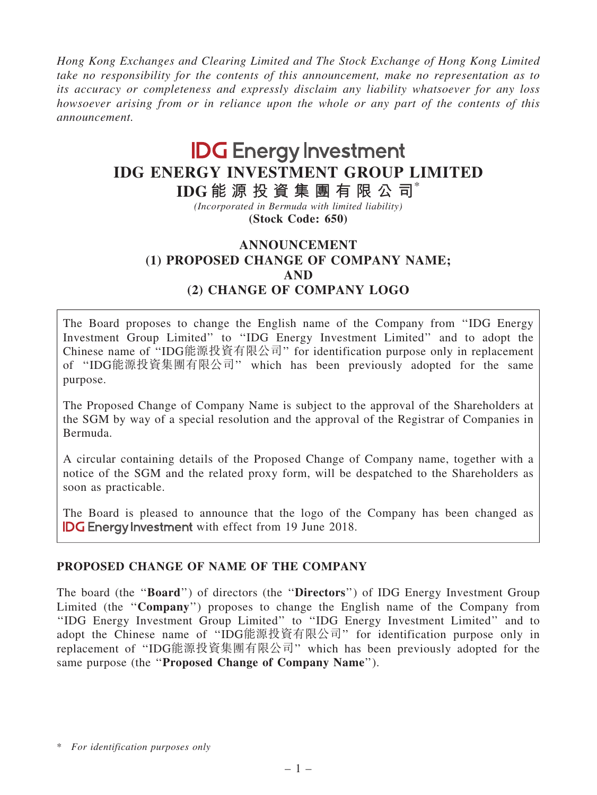Hong Kong Exchanges and Clearing Limited and The Stock Exchange of Hong Kong Limited take no responsibility for the contents of this announcement, make no representation as to its accuracy or completeness and expressly disclaim any liability whatsoever for any loss howsoever arising from or in reliance upon the whole or any part of the contents of this announcement.

# **IDG** Energy Investment IDG ENERGY INVESTMENT GROUP LIMITED

IDG 能 源 投 資 集 團 有 限 公 司\* (Incorporated in Bermuda with limited liability)

(Stock Code: 650)

# ANNOUNCEMENT (1) PROPOSED CHANGE OF COMPANY NAME; AND (2) CHANGE OF COMPANY LOGO

The Board proposes to change the English name of the Company from ''IDG Energy Investment Group Limited'' to ''IDG Energy Investment Limited'' and to adopt the Chinese name of ''IDG能源投資有限公司'' for identification purpose only in replacement of ''IDG能源投資集團有限公司'' which has been previously adopted for the same purpose.

The Proposed Change of Company Name is subject to the approval of the Shareholders at the SGM by way of a special resolution and the approval of the Registrar of Companies in Bermuda.

A circular containing details of the Proposed Change of Company name, together with a notice of the SGM and the related proxy form, will be despatched to the Shareholders as soon as practicable.

The Board is pleased to announce that the logo of the Company has been changed as **IDG Energy Investment** with effect from 19 June 2018.

# PROPOSED CHANGE OF NAME OF THE COMPANY

The board (the "Board") of directors (the "Directors") of IDG Energy Investment Group Limited (the ''Company'') proposes to change the English name of the Company from ''IDG Energy Investment Group Limited'' to ''IDG Energy Investment Limited'' and to adopt the Chinese name of ''IDG能源投資有限公司'' for identification purpose only in replacement of ''IDG能源投資集團有限公司'' which has been previously adopted for the same purpose (the "Proposed Change of Company Name").

<sup>\*</sup> For identification purposes only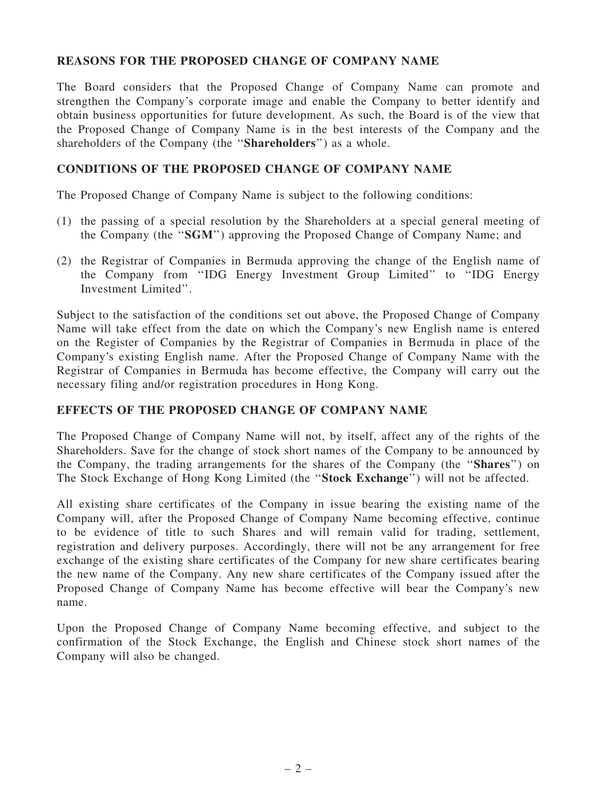# REASONS FOR THE PROPOSED CHANGE OF COMPANY NAME

The Board considers that the Proposed Change of Company Name can promote and strengthen the Company's corporate image and enable the Company to better identify and obtain business opportunities for future development. As such, the Board is of the view that the Proposed Change of Company Name is in the best interests of the Company and the shareholders of the Company (the ''Shareholders'') as a whole.

#### CONDITIONS OF THE PROPOSED CHANGE OF COMPANY NAME

The Proposed Change of Company Name is subject to the following conditions:

- (1) the passing of a special resolution by the Shareholders at a special general meeting of the Company (the ''SGM'') approving the Proposed Change of Company Name; and
- (2) the Registrar of Companies in Bermuda approving the change of the English name of the Company from ''IDG Energy Investment Group Limited'' to ''IDG Energy Investment Limited''.

Subject to the satisfaction of the conditions set out above, the Proposed Change of Company Name will take effect from the date on which the Company's new English name is entered on the Register of Companies by the Registrar of Companies in Bermuda in place of the Company's existing English name. After the Proposed Change of Company Name with the Registrar of Companies in Bermuda has become effective, the Company will carry out the necessary filing and/or registration procedures in Hong Kong.

# EFFECTS OF THE PROPOSED CHANGE OF COMPANY NAME

The Proposed Change of Company Name will not, by itself, affect any of the rights of the Shareholders. Save for the change of stock short names of the Company to be announced by the Company, the trading arrangements for the shares of the Company (the ''Shares'') on The Stock Exchange of Hong Kong Limited (the ''Stock Exchange'') will not be affected.

All existing share certificates of the Company in issue bearing the existing name of the Company will, after the Proposed Change of Company Name becoming effective, continue to be evidence of title to such Shares and will remain valid for trading, settlement, registration and delivery purposes. Accordingly, there will not be any arrangement for free exchange of the existing share certificates of the Company for new share certificates bearing the new name of the Company. Any new share certificates of the Company issued after the Proposed Change of Company Name has become effective will bear the Company's new name.

Upon the Proposed Change of Company Name becoming effective, and subject to the confirmation of the Stock Exchange, the English and Chinese stock short names of the Company will also be changed.